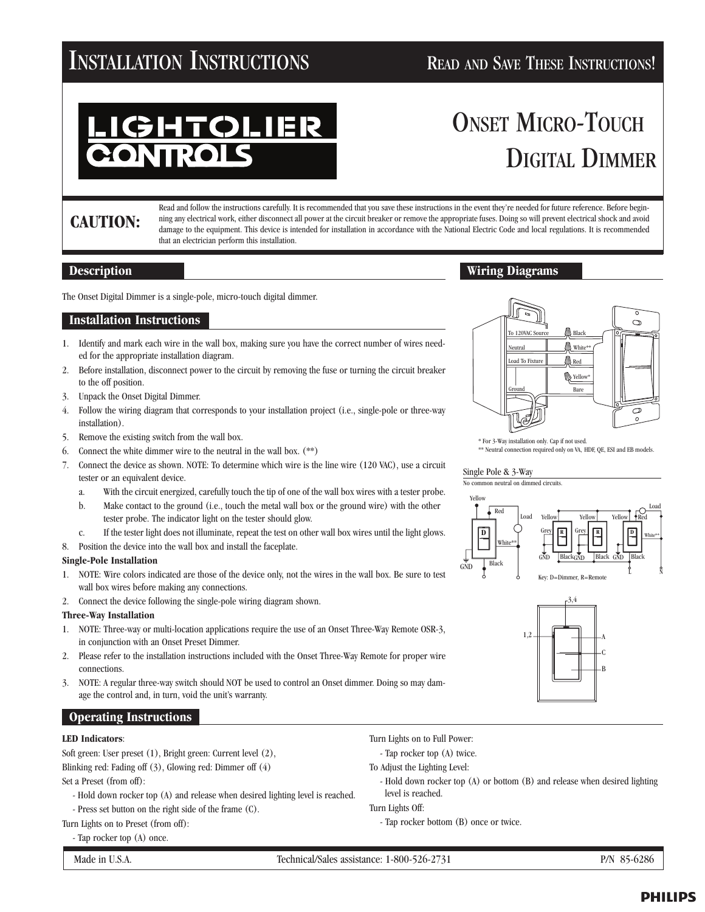## INSTALLATION INSTRUCTIONS READ AND SAVE THESE INSTRUCTIONS!

# **TOLIER**

## ONSET MICRO-TOUCH DIGITAL DIMMER

### **CAUTION:**

Read and follow the instructions carefully. It is recommended that you save these instructions in the event they're needed for future reference. Before beginning any electrical work, either disconnect all power at the circuit breaker or remove the appropriate fuses. Doing so will prevent electrical shock and avoid damage to the equipment. This device is intended for installation in accordance with the National Electric Code and local regulations. It is recommended that an electrician perform this installation.

#### **Description**

The Onset Digital Dimmer is a single-pole, micro-touch digital dimmer.

#### **Installation Instructions**

- 1. Identify and mark each wire in the wall box, making sure you have the correct number of wires needed for the appropriate installation diagram.
- 2. Before installation, disconnect power to the circuit by removing the fuse or turning the circuit breaker to the off position.
- 3. Unpack the Onset Digital Dimmer.
- 4. Follow the wiring diagram that corresponds to your installation project (i.e., single-pole or three-way installation).
- 5. Remove the existing switch from the wall box.
- 6. Connect the white dimmer wire to the neutral in the wall box. (\*\*)
- 7. Connect the device as shown. NOTE: To determine which wire is the line wire (120 VAC), use a circuit tester or an equivalent device.
	- a. With the circuit energized, carefully touch the tip of one of the wall box wires with a tester probe.
	- b. Make contact to the ground (i.e., touch the metal wall box or the ground wire) with the other tester probe. The indicator light on the tester should glow.
	- c. If the tester light does not illuminate, repeat the test on other wall box wires until the light glows.
- 8. Position the device into the wall box and install the faceplate.

#### **Single-Pole Installation**

- 1. NOTE: Wire colors indicated are those of the device only, not the wires in the wall box. Be sure to test wall box wires before making any connections.
- 2. Connect the device following the single-pole wiring diagram shown.

#### **Three-Way Installation**

- 1. NOTE: Three-way or multi-location applications require the use of an Onset Three-Way Remote OSR-3, in conjunction with an Onset Preset Dimmer.
- 2. Please refer to the installation instructions included with the Onset Three-Way Remote for proper wire connections.
- 3. NOTE: A regular three-way switch should NOT be used to control an Onset dimmer. Doing so may damage the control and, in turn, void the unit's warranty.

#### **Operating Instructions**

#### **LED Indicators**:

Soft green: User preset (1), Bright green: Current level (2), Blinking red: Fading off (3), Glowing red: Dimmer off (4) Set a Preset (from off):

- Hold down rocker top (A) and release when desired lighting level is reached.
- Press set button on the right side of the frame (C).

#### Turn Lights on to Preset (from off):

- Tap rocker top (A) once.

.A. Technical/Sales assistance: 1-800-526-2731 P/N 85-6286

- Turn Lights on to Full Power:
- Tap rocker top (A) twice.
- To Adjust the Lighting Level:
	- Hold down rocker top (A) or bottom (B) and release when desired lighting level is reached.

Turn Lights Off:

- Tap rocker bottom (B) once or twice.



\* For 3-Way installation only. Cap if not used. \*\* Neutral connection required only on VA, HDF, QE, ESI and EB models.

#### Single Pole & 3-Way



**Wiring Diagrams**